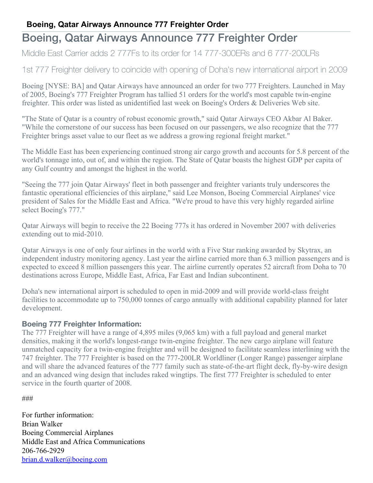## **Boeing, Qatar Airways Announce 777 Freighter Order**

## Boeing, Qatar Airways Announce 777 Freighter Order

Middle East Carrier adds 2 777Fs to its order for 14 777-300ERs and 6 777-200LRs

1st 777 Freighter delivery to coincide with opening of Doha's new international airport in 2009

Boeing [NYSE: BA] and Qatar Airways have announced an order for two 777 Freighters. Launched in May of 2005, Boeing's 777 Freighter Program has tallied 51 orders for the world's most capable twin-engine freighter. This order was listed as unidentified last week on Boeing's Orders & Deliveries Web site.

"The State of Qatar is a country of robust economic growth," said Qatar Airways CEO Akbar Al Baker. "While the cornerstone of our success has been focused on our passengers, we also recognize that the 777 Freighter brings asset value to our fleet as we address a growing regional freight market."

The Middle East has been experiencing continued strong air cargo growth and accounts for 5.8 percent of the world's tonnage into, out of, and within the region. The State of Qatar boasts the highest GDP per capita of any Gulf country and amongst the highest in the world.

"Seeing the 777 join Qatar Airways' fleet in both passenger and freighter variants truly underscores the fantastic operational efficiencies of this airplane," said Lee Monson, Boeing Commercial Airplanes' vice president of Sales for the Middle East and Africa. "We're proud to have this very highly regarded airline select Boeing's 777."

Qatar Airways will begin to receive the 22 Boeing 777s it has ordered in November 2007 with deliveries extending out to mid-2010.

Qatar Airways is one of only four airlines in the world with a Five Star ranking awarded by Skytrax, an independent industry monitoring agency. Last year the airline carried more than 6.3 million passengers and is expected to exceed 8 million passengers this year. The airline currently operates 52 aircraft from Doha to 70 destinations across Europe, Middle East, Africa, Far East and Indian subcontinent.

Doha's new international airport is scheduled to open in mid-2009 and will provide world-class freight facilities to accommodate up to 750,000 tonnes of cargo annually with additional capability planned for later development.

## **Boeing 777 Freighter Information:**

The 777 Freighter will have a range of 4,895 miles (9,065 km) with a full payload and general market densities, making it the world's longest-range twin-engine freighter. The new cargo airplane will feature unmatched capacity for a twin-engine freighter and will be designed to facilitate seamless interlining with the 747 freighter. The 777 Freighter is based on the 777-200LR Worldliner (Longer Range) passenger airplane and will share the advanced features of the 777 family such as state-of-the-art flight deck, fly-by-wire design and an advanced wing design that includes raked wingtips. The first 777 Freighter is scheduled to enter service in the fourth quarter of 2008.

###

For further information: Brian Walker Boeing Commercial Airplanes Middle East and Africa Communications 206-766-2929 [brian.d.walker@boeing.com](mailto:brian.d.walker@boeing.com)